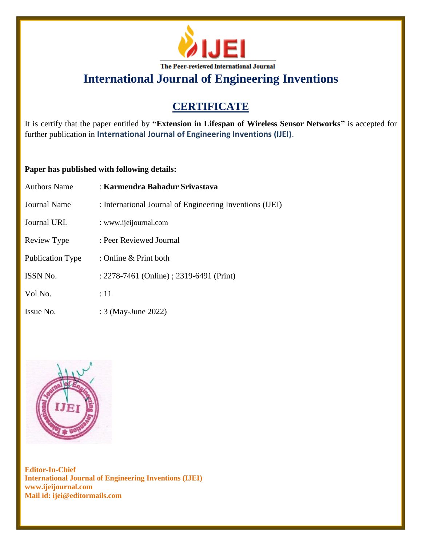

**International Journal of Engineering Inventions**

# **CERTIFICATE**

It is certify that the paper entitled by **"Extension in Lifespan of Wireless Sensor Networks"** is accepted for further publication in **International Journal of Engineering Inventions (IJEI)**.

## **Paper has published with following details:**

| <b>Authors Name</b>     | : Karmendra Bahadur Srivastava                           |
|-------------------------|----------------------------------------------------------|
| Journal Name            | : International Journal of Engineering Inventions (IJEI) |
| Journal URL             | : www.ijeijournal.com                                    |
| Review Type             | : Peer Reviewed Journal                                  |
| <b>Publication Type</b> | : Online & Print both                                    |
| ISSN No.                | : 2278-7461 (Online) ; 2319-6491 (Print)                 |
| Vol No.                 | :11                                                      |
| Issue No.               | : 3 (May-June 2022)                                      |



**Editor-In-Chief International Journal of Engineering Inventions (IJEI) www.ijeijournal.com Mail id: ijei@editormails.com**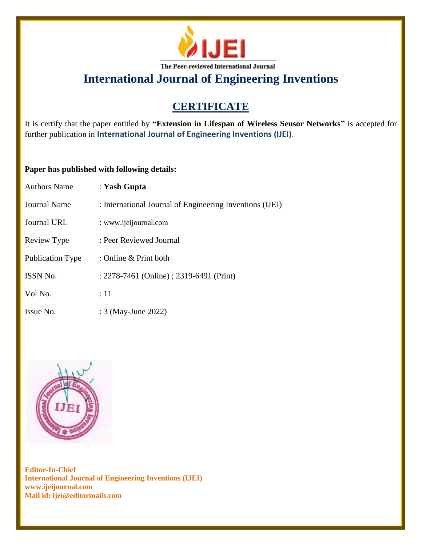

**International Journal of Engineering Inventions**

# **CERTIFICATE**

It is certify that the paper entitled by **"Extension in Lifespan of Wireless Sensor Networks"** is accepted for further publication in **International Journal of Engineering Inventions (IJEI)**.

## **Paper has published with following details:**

| <b>Authors Name</b>     | : Yash Gupta                                             |
|-------------------------|----------------------------------------------------------|
| <b>Journal Name</b>     | : International Journal of Engineering Inventions (IJEI) |
| <b>Journal URL</b>      | : www.ijeijournal.com                                    |
| Review Type             | : Peer Reviewed Journal                                  |
| <b>Publication Type</b> | : Online & Print both                                    |
| ISSN No.                | : 2278-7461 (Online) ; 2319-6491 (Print)                 |
| Vol No.                 | $\div 11$                                                |
| Issue No.               | : 3 (May-June 2022)                                      |



**Editor-In-Chief International Journal of Engineering Inventions (IJEI) www.ijeijournal.com Mail id: ijei@editormails.com**